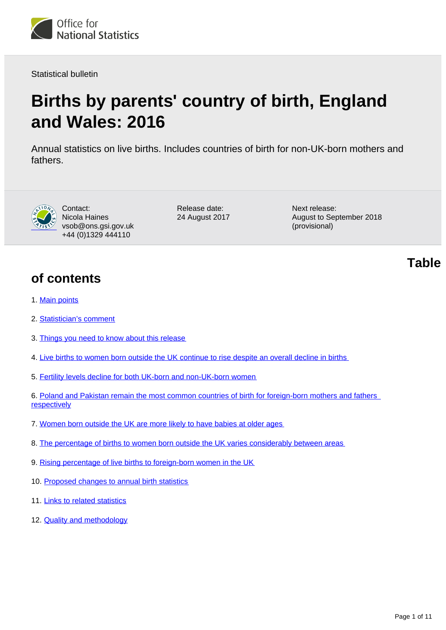

Statistical bulletin

# **Births by parents' country of birth, England and Wales: 2016**

Annual statistics on live births. Includes countries of birth for non-UK-born mothers and fathers.



Contact: Nicola Haines vsob@ons.gsi.gov.uk +44 (0)1329 444110

Release date: 24 August 2017 Next release: August to September 2018 (provisional)

**of contents**

- 1. [Main points](#page-1-0)
- 2. [Statistician's comment](#page-1-1)
- 3. [Things you need to know about this release](#page-1-2)
- 4. [Live births to women born outside the UK continue to rise despite an overall decline in births](#page-2-0)
- 5. [Fertility levels decline for both UK-born and non-UK-born women](#page-3-0)
- 6. [Poland and Pakistan remain the most common countries of birth for foreign-born mothers and fathers](#page-5-0)  **[respectively](#page-5-0)**
- 7. [Women born outside the UK are more likely to have babies at older ages](#page-6-0)
- 8. [The percentage of births to women born outside the UK varies considerably between areas](#page-8-0)
- 9. [Rising percentage of live births to foreign-born women in the UK](#page-8-1)
- 10. [Proposed changes to annual birth statistics](#page-8-2)
- 11. [Links to related statistics](#page-9-0)
- 12. **[Quality and methodology](#page-9-1)**

**Table**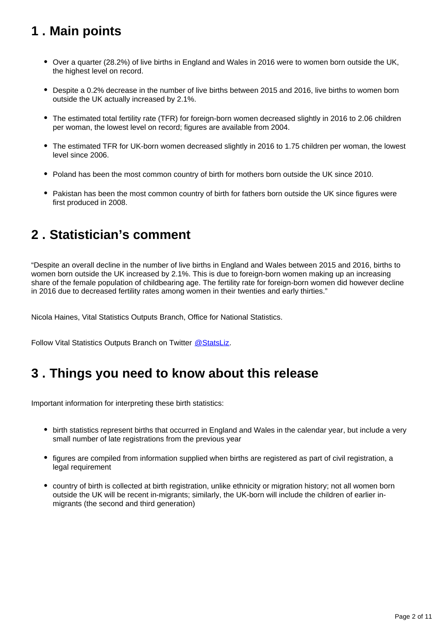# <span id="page-1-0"></span>**1 . Main points**

- Over a quarter (28.2%) of live births in England and Wales in 2016 were to women born outside the UK, the highest level on record.
- Despite a 0.2% decrease in the number of live births between 2015 and 2016, live births to women born outside the UK actually increased by 2.1%.
- The estimated total fertility rate (TFR) for foreign-born women decreased slightly in 2016 to 2.06 children per woman, the lowest level on record; figures are available from 2004.
- The estimated TFR for UK-born women decreased slightly in 2016 to 1.75 children per woman, the lowest level since 2006.
- Poland has been the most common country of birth for mothers born outside the UK since 2010.
- Pakistan has been the most common country of birth for fathers born outside the UK since figures were first produced in 2008.

# <span id="page-1-1"></span>**2 . Statistician's comment**

"Despite an overall decline in the number of live births in England and Wales between 2015 and 2016, births to women born outside the UK increased by 2.1%. This is due to foreign-born women making up an increasing share of the female population of childbearing age. The fertility rate for foreign-born women did however decline in 2016 due to decreased fertility rates among women in their twenties and early thirties."

Nicola Haines, Vital Statistics Outputs Branch, Office for National Statistics.

Follow Vital Statistics Outputs Branch on Twitter @ StatsLiz.

### <span id="page-1-2"></span>**3 . Things you need to know about this release**

Important information for interpreting these birth statistics:

- birth statistics represent births that occurred in England and Wales in the calendar year, but include a very small number of late registrations from the previous year
- figures are compiled from information supplied when births are registered as part of civil registration, a legal requirement
- country of birth is collected at birth registration, unlike ethnicity or migration history; not all women born outside the UK will be recent in-migrants; similarly, the UK-born will include the children of earlier inmigrants (the second and third generation)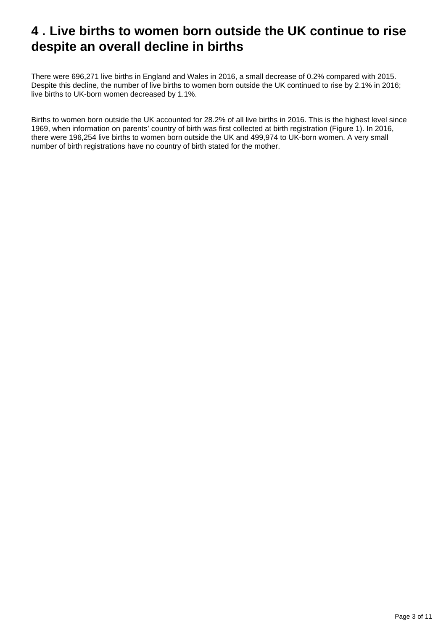# <span id="page-2-0"></span>**4 . Live births to women born outside the UK continue to rise despite an overall decline in births**

There were 696,271 live births in England and Wales in 2016, a small decrease of 0.2% compared with 2015. Despite this decline, the number of live births to women born outside the UK continued to rise by 2.1% in 2016; live births to UK-born women decreased by 1.1%.

Births to women born outside the UK accounted for 28.2% of all live births in 2016. This is the highest level since 1969, when information on parents' country of birth was first collected at birth registration (Figure 1). In 2016, there were 196,254 live births to women born outside the UK and 499,974 to UK-born women. A very small number of birth registrations have no country of birth stated for the mother.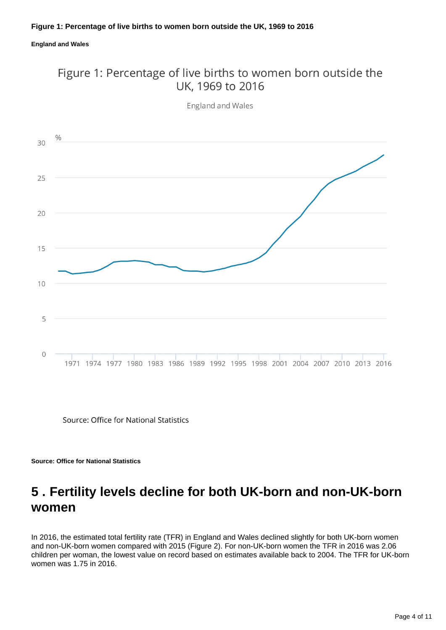#### **England and Wales**

### Figure 1: Percentage of live births to women born outside the UK. 1969 to 2016



England and Wales

Source: Office for National Statistics

**Source: Office for National Statistics**

### <span id="page-3-0"></span>**5 . Fertility levels decline for both UK-born and non-UK-born women**

In 2016, the estimated total fertility rate (TFR) in England and Wales declined slightly for both UK-born women and non-UK-born women compared with 2015 (Figure 2). For non-UK-born women the TFR in 2016 was 2.06 children per woman, the lowest value on record based on estimates available back to 2004. The TFR for UK-born women was 1.75 in 2016.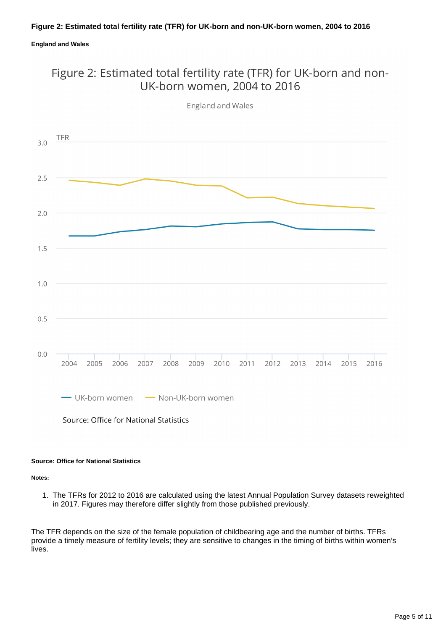#### **Figure 2: Estimated total fertility rate (TFR) for UK-born and non-UK-born women, 2004 to 2016**

#### **England and Wales**

### Figure 2: Estimated total fertility rate (TFR) for UK-born and non-UK-born women, 2004 to 2016



**England and Wales** 

#### **Source: Office for National Statistics**

**Notes:**

1. The TFRs for 2012 to 2016 are calculated using the latest Annual Population Survey datasets reweighted in 2017. Figures may therefore differ slightly from those published previously.

The TFR depends on the size of the female population of childbearing age and the number of births. TFRs provide a timely measure of fertility levels; they are sensitive to changes in the timing of births within women's lives.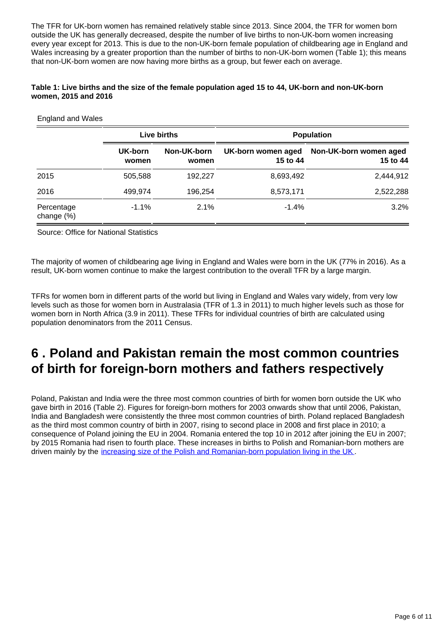The TFR for UK-born women has remained relatively stable since 2013. Since 2004, the TFR for women born outside the UK has generally decreased, despite the number of live births to non-UK-born women increasing every year except for 2013. This is due to the non-UK-born female population of childbearing age in England and Wales increasing by a greater proportion than the number of births to non-UK-born women (Table 1); this means that non-UK-born women are now having more births as a group, but fewer each on average.

#### **Table 1: Live births and the size of the female population aged 15 to 44, UK-born and non-UK-born women, 2015 and 2016**

| <b>England and Wales</b>    |                  |                      |                                |                                    |  |  |  |  |  |
|-----------------------------|------------------|----------------------|--------------------------------|------------------------------------|--|--|--|--|--|
|                             | Live births      |                      | <b>Population</b>              |                                    |  |  |  |  |  |
|                             | UK-born<br>women | Non-UK-born<br>women | UK-born women aged<br>15 to 44 | Non-UK-born women aged<br>15 to 44 |  |  |  |  |  |
| 2015                        | 505,588          | 192,227              | 8,693,492                      | 2,444,912                          |  |  |  |  |  |
| 2016                        | 499,974          | 196,254              | 8,573,171                      | 2,522,288                          |  |  |  |  |  |
| Percentage<br>change $(\%)$ | $-1.1%$          | 2.1%                 | $-1.4%$                        | 3.2%                               |  |  |  |  |  |

Source: Office for National Statistics

The majority of women of childbearing age living in England and Wales were born in the UK (77% in 2016). As a result, UK-born women continue to make the largest contribution to the overall TFR by a large margin.

TFRs for women born in different parts of the world but living in England and Wales vary widely, from very low levels such as those for women born in Australasia (TFR of 1.3 in 2011) to much higher levels such as those for women born in North Africa (3.9 in 2011). These TFRs for individual countries of birth are calculated using population denominators from the 2011 Census.

### <span id="page-5-0"></span>**6 . Poland and Pakistan remain the most common countries of birth for foreign-born mothers and fathers respectively**

Poland, Pakistan and India were the three most common countries of birth for women born outside the UK who gave birth in 2016 (Table 2). Figures for foreign-born mothers for 2003 onwards show that until 2006, Pakistan, India and Bangladesh were consistently the three most common countries of birth. Poland replaced Bangladesh as the third most common country of birth in 2007, rising to second place in 2008 and first place in 2010; a consequence of Poland joining the EU in 2004. Romania entered the top 10 in 2012 after joining the EU in 2007; by 2015 Romania had risen to fourth place. These increases in births to Polish and Romanian-born mothers are driven mainly by the [increasing size of the Polish and Romanian-born population living in the UK](https://www.ons.gov.uk/peoplepopulationandcommunity/populationandmigration/internationalmigration/datasets/populationoftheunitedkingdombycountryofbirthandnationality) .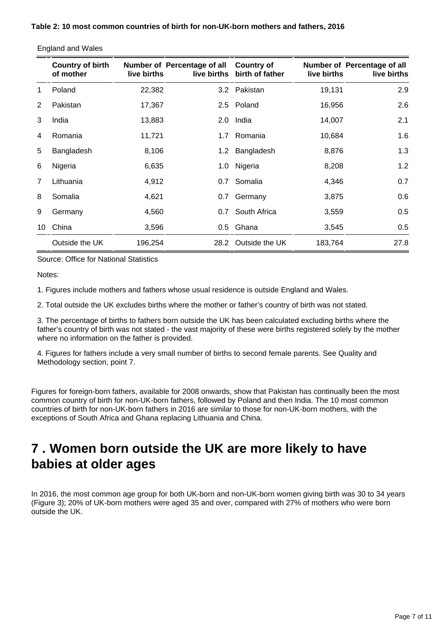|                | <b>Country of birth</b><br>of mother | live births | Number of Percentage of all | <b>Country of</b><br>live births birth of father | live births | Number of Percentage of all<br>live births |
|----------------|--------------------------------------|-------------|-----------------------------|--------------------------------------------------|-------------|--------------------------------------------|
| $\mathbf 1$    | Poland                               | 22,382      |                             | 3.2 Pakistan                                     | 19,131      | 2.9                                        |
| $\overline{2}$ | Pakistan                             | 17,367      |                             | 2.5 Poland                                       | 16,956      | 2.6                                        |
| 3              | India                                | 13,883      |                             | 2.0 India                                        | 14,007      | 2.1                                        |
| 4              | Romania                              | 11,721      | 1.7 <sub>z</sub>            | Romania                                          | 10,684      | 1.6                                        |
| 5              | Bangladesh                           | 8,106       |                             | 1.2 Bangladesh                                   | 8,876       | 1.3                                        |
| 6              | Nigeria                              | 6,635       |                             | 1.0 Nigeria                                      | 8,208       | 1.2                                        |
| 7              | Lithuania                            | 4,912       |                             | 0.7 Somalia                                      | 4,346       | 0.7                                        |
| 8              | Somalia                              | 4,621       | 0.7                         | Germany                                          | 3,875       | 0.6                                        |
| 9              | Germany                              | 4,560       |                             | 0.7 South Africa                                 | 3,559       | 0.5                                        |
| 10             | China                                | 3,596       |                             | 0.5 Ghana                                        | 3,545       | 0.5                                        |
|                | Outside the UK                       | 196,254     |                             | 28.2 Outside the UK                              | 183,764     | 27.8                                       |

England and Wales

Source: Office for National Statistics

Notes:

1. Figures include mothers and fathers whose usual residence is outside England and Wales.

2. Total outside the UK excludes births where the mother or father's country of birth was not stated.

3. The percentage of births to fathers born outside the UK has been calculated excluding births where the father's country of birth was not stated - the vast majority of these were births registered solely by the mother where no information on the father is provided.

4. Figures for fathers include a very small number of births to second female parents. See Quality and Methodology section, point 7.

Figures for foreign-born fathers, available for 2008 onwards, show that Pakistan has continually been the most common country of birth for non-UK-born fathers, followed by Poland and then India. The 10 most common countries of birth for non-UK-born fathers in 2016 are similar to those for non-UK-born mothers, with the exceptions of South Africa and Ghana replacing Lithuania and China.

### <span id="page-6-0"></span>**7 . Women born outside the UK are more likely to have babies at older ages**

In 2016, the most common age group for both UK-born and non-UK-born women giving birth was 30 to 34 years (Figure 3); 20% of UK-born mothers were aged 35 and over, compared with 27% of mothers who were born outside the UK.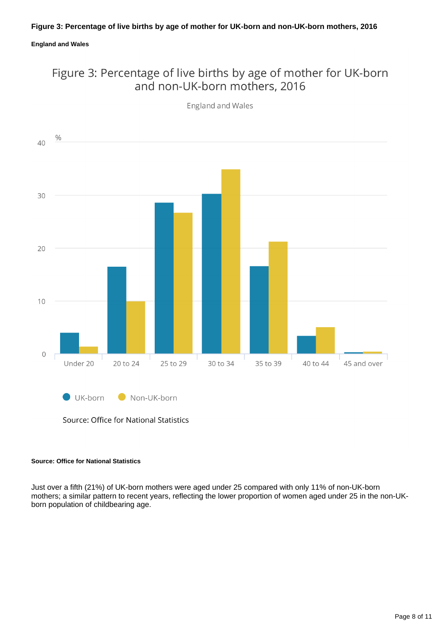#### **England and Wales**

### Figure 3: Percentage of live births by age of mother for UK-born and non-UK-born mothers, 2016



**England and Wales** 

Source: Office for National Statistics

#### **Source: Office for National Statistics**

Just over a fifth (21%) of UK-born mothers were aged under 25 compared with only 11% of non-UK-born mothers; a similar pattern to recent years, reflecting the lower proportion of women aged under 25 in the non-UKborn population of childbearing age.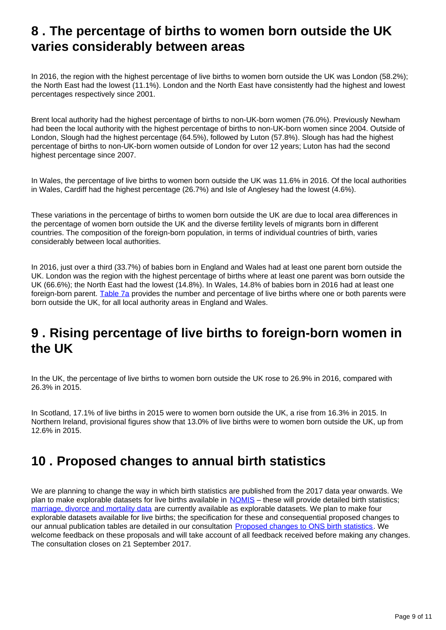### <span id="page-8-0"></span>**8 . The percentage of births to women born outside the UK varies considerably between areas**

In 2016, the region with the highest percentage of live births to women born outside the UK was London (58.2%); the North East had the lowest (11.1%). London and the North East have consistently had the highest and lowest percentages respectively since 2001.

Brent local authority had the highest percentage of births to non-UK-born women (76.0%). Previously Newham had been the local authority with the highest percentage of births to non-UK-born women since 2004. Outside of London, Slough had the highest percentage (64.5%), followed by Luton (57.8%). Slough has had the highest percentage of births to non-UK-born women outside of London for over 12 years; Luton has had the second highest percentage since 2007.

In Wales, the percentage of live births to women born outside the UK was 11.6% in 2016. Of the local authorities in Wales, Cardiff had the highest percentage (26.7%) and Isle of Anglesey had the lowest (4.6%).

These variations in the percentage of births to women born outside the UK are due to local area differences in the percentage of women born outside the UK and the diverse fertility levels of migrants born in different countries. The composition of the foreign-born population, in terms of individual countries of birth, varies considerably between local authorities.

In 2016, just over a third (33.7%) of babies born in England and Wales had at least one parent born outside the UK. London was the region with the highest percentage of births where at least one parent was born outside the UK (66.6%); the North East had the lowest (14.8%). In Wales, 14.8% of babies born in 2016 had at least one foreign-born parent. [Table 7a](https://www.ons.gov.uk/peoplepopulationandcommunity/birthsdeathsandmarriages/livebirths/datasets/parentscountryofbirth) provides the number and percentage of live births where one or both parents were born outside the UK, for all local authority areas in England and Wales.

### <span id="page-8-1"></span>**9 . Rising percentage of live births to foreign-born women in the UK**

In the UK, the percentage of live births to women born outside the UK rose to 26.9% in 2016, compared with 26.3% in 2015.

In Scotland, 17.1% of live births in 2015 were to women born outside the UK, a rise from 16.3% in 2015. In Northern Ireland, provisional figures show that 13.0% of live births were to women born outside the UK, up from 12.6% in 2015.

### <span id="page-8-2"></span>**10 . Proposed changes to annual birth statistics**

We are planning to change the way in which birth statistics are published from the 2017 data year onwards. We plan to make explorable datasets for live births available in [NOMIS](https://www.nomisweb.co.uk/) – these will provide detailed birth statistics; [marriage, divorce and mortality data](https://www.nomisweb.co.uk/query/select/getdatasetbytheme.asp?theme=73) are currently available as explorable datasets. We plan to make four explorable datasets available for live births; the specification for these and consequential proposed changes to our annual publication tables are detailed in our consultation [Proposed changes to ONS birth statistics](https://consultations.ons.gov.uk/health-and-life-events/proposed-changes-to-ons-birth-statistics). We welcome feedback on these proposals and will take account of all feedback received before making any changes. The consultation closes on 21 September 2017.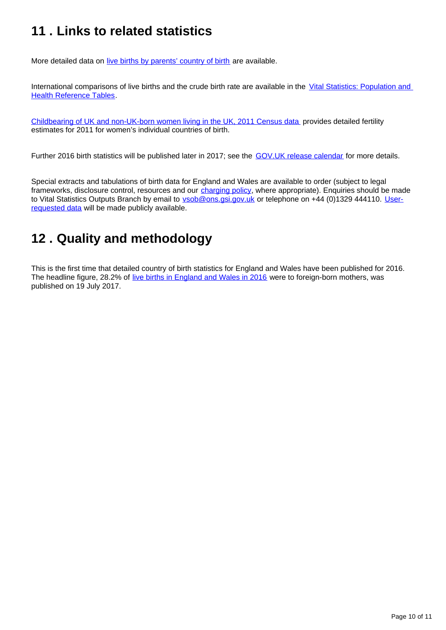# <span id="page-9-0"></span>**11 . Links to related statistics**

More detailed data on [live births by parents' country of birth](https://www.ons.gov.uk/peoplepopulationandcommunity/birthsdeathsandmarriages/livebirths/datasets/parentscountryofbirth) are available.

International comparisons of live births and the crude birth rate are available in the [Vital Statistics: Population and](http://www.ons.gov.uk/peoplepopulationandcommunity/populationandmigration/populationestimates/datasets/vitalstatisticspopulationandhealthreferencetables)  [Health Reference Tables.](http://www.ons.gov.uk/peoplepopulationandcommunity/populationandmigration/populationestimates/datasets/vitalstatisticspopulationandhealthreferencetables)

[Childbearing of UK and non-UK-born women living in the UK, 2011 Census data](http://webarchive.nationalarchives.gov.uk/20160105160709/http:/www.ons.gov.uk/ons/rel/fertility-analysis/childbearing-of-uk-and-non-uk-born-women-living-in-the-uk/2011-census-data/index.html) provides detailed fertility estimates for 2011 for women's individual countries of birth.

Further 2016 birth statistics will be published later in 2017; see the [GOV.UK release calendar](https://www.gov.uk/government/statistics/announcements) for more details.

Special extracts and tabulations of birth data for England and Wales are available to order (subject to legal frameworks, disclosure control, resources and our [charging policy,](http://www.ons.gov.uk/aboutus/whatwedo/statistics/publicationscheme) where appropriate). Enquiries should be made to Vital Statistics Outputs Branch by email to vsob@ons.gsi.gov.uk or telephone on +44 (0)1329 444110. [User](http://www.ons.gov.uk/peoplepopulationandcommunity/birthsdeathsandmarriages/livebirths/datalist?sortBy=release_date&filter=user_requested_data)[requested data](http://www.ons.gov.uk/peoplepopulationandcommunity/birthsdeathsandmarriages/livebirths/datalist?sortBy=release_date&filter=user_requested_data) will be made publicly available.

# <span id="page-9-1"></span>**12 . Quality and methodology**

This is the first time that detailed country of birth statistics for England and Wales have been published for 2016. The headline figure, 28.2% of [live births in England and Wales in 2016](https://www.ons.gov.uk/peoplepopulationandcommunity/birthsdeathsandmarriages/livebirths/bulletins/birthsummarytablesenglandandwales/2016) were to foreign-born mothers, was published on 19 July 2017.